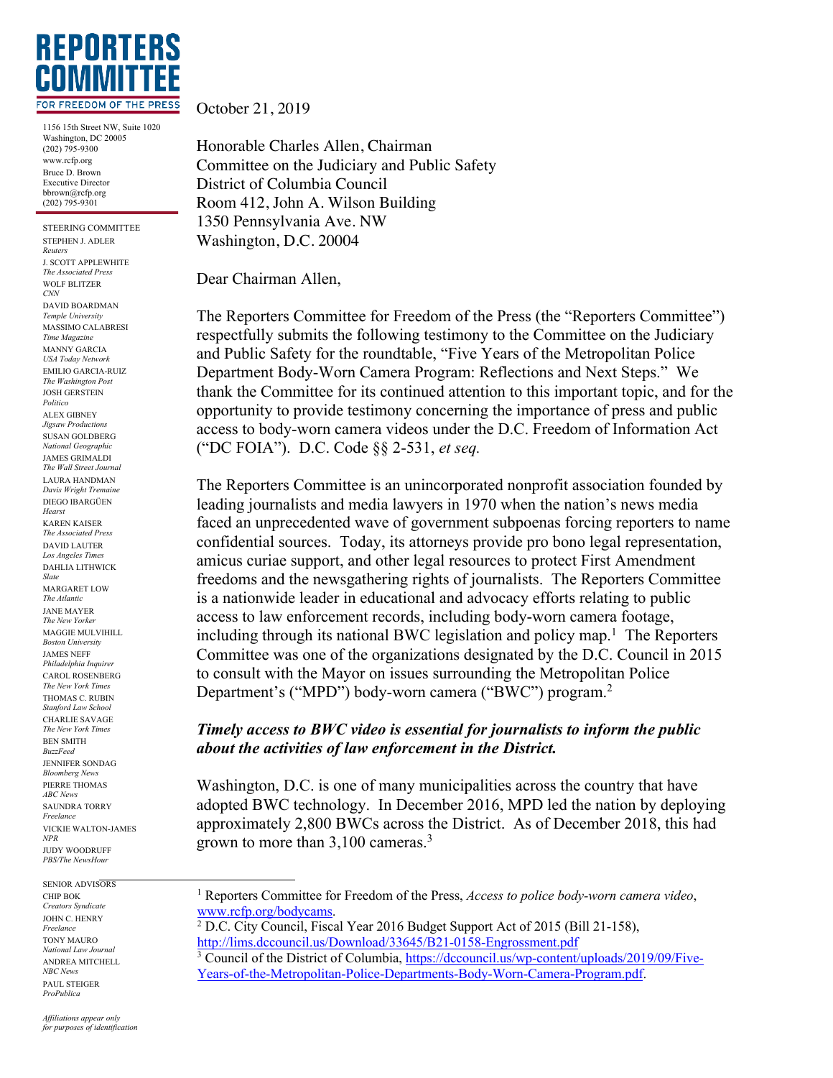

1156 15th Street NW, Suite 1020 Washington, DC 20005 (202) 795-9300 www.rcfp.org Bruce D. Brown Executive Director bbrown@rcfp.org (202) 795-9301

STEERING COMMITTEE STEPHEN J. ADLER *Reuters* J. SCOTT APPLEWHITE *The Associated Press* WOLF BLITZER *CNN* DAVID BOARDMAN *Temple University* MASSIMO CALABRESI *Time Magazine* MANNY GARCIA *USA Today Network* EMILIO GARCIA-RUIZ *The Washington Post* JOSH GERSTEIN *Politico* ALEX GIBNEY *Jigsaw Productions* SUSAN GOLDBERG *National Geographic* JAMES GRIMALDI *The Wall Street Journal* LAURA HANDMAN *Davis Wright Tremaine* DIEGO IBARGÜEN *Hearst* KAREN KAISER *The Associated Press* DAVID LAUTER *Los Angeles Times* DAHLIA LITHWICK *Slate* MARGARET LOW *The Atlantic* JANE MAYER *The New Yorker* MAGGIE MULVIHILL *Boston University* JAMES NEFF *Philadelphia Inquirer* CAROL ROSENBERG *The New York Times* THOMAS C. RUBIN *Stanford Law School* CHARLIE SAVAGE *The New York Times* BEN SMITH *BuzzFeed* JENNIFER SONDAG *Bloomberg News* PIERRE THOMAS *ABC News* SAUNDRA TORRY *Freelance* VICKIE WALTON-JAMES *NPR* JUDY WOODRUFF *PBS/The NewsHour*

SENIOR ADVISORS CHIP BOK *Creators Syndicate* JOHN C. HENRY *Freelance* TONY MAURO *National Law Journal* ANDREA MITCHELL *NBC News* PAUL STEIGER *ProPublica*

October 21, 2019

Honorable Charles Allen, Chairman Committee on the Judiciary and Public Safety District of Columbia Council Room 412, John A. Wilson Building 1350 Pennsylvania Ave. NW Washington, D.C. 20004

Dear Chairman Allen,

The Reporters Committee for Freedom of the Press (the "Reporters Committee") respectfully submits the following testimony to the Committee on the Judiciary and Public Safety for the roundtable, "Five Years of the Metropolitan Police Department Body-Worn Camera Program: Reflections and Next Steps." We thank the Committee for its continued attention to this important topic, and for the opportunity to provide testimony concerning the importance of press and public access to body-worn camera videos under the D.C. Freedom of Information Act ("DC FOIA"). D.C. Code §§ 2-531, *et seq.*

The Reporters Committee is an unincorporated nonprofit association founded by leading journalists and media lawyers in 1970 when the nation's news media faced an unprecedented wave of government subpoenas forcing reporters to name confidential sources. Today, its attorneys provide pro bono legal representation, amicus curiae support, and other legal resources to protect First Amendment freedoms and the newsgathering rights of journalists. The Reporters Committee is a nationwide leader in educational and advocacy efforts relating to public access to law enforcement records, including body-worn camera footage, including through its national BWC legislation and policy map.<sup>1</sup> The Reporters Committee was one of the organizations designated by the D.C. Council in 2015 to consult with the Mayor on issues surrounding the Metropolitan Police Department's ("MPD") body-worn camera ("BWC") program.<sup>2</sup>

## *Timely access to BWC video is essential for journalists to inform the public about the activities of law enforcement in the District.*

Washington, D.C. is one of many municipalities across the country that have adopted BWC technology. In December 2016, MPD led the nation by deploying approximately 2,800 BWCs across the District. As of December 2018, this had grown to more than 3,100 cameras.3

<sup>1</sup> Reporters Committee for Freedom of the Press, *Access to police body-worn camera video*, www.rcfp.org/bodycams.

<sup>&</sup>lt;sup>2</sup> D.C. City Council, Fiscal Year 2016 Budget Support Act of 2015 (Bill 21-158), http://lims.dccouncil.us/Download/33645/B21-0158-Engrossment.pdf

<sup>&</sup>lt;sup>3</sup> Council of the District of Columbia, https://dccouncil.us/wp-content/uploads/2019/09/Five-Years-of-the-Metropolitan-Police-Departments-Body-Worn-Camera-Program.pdf.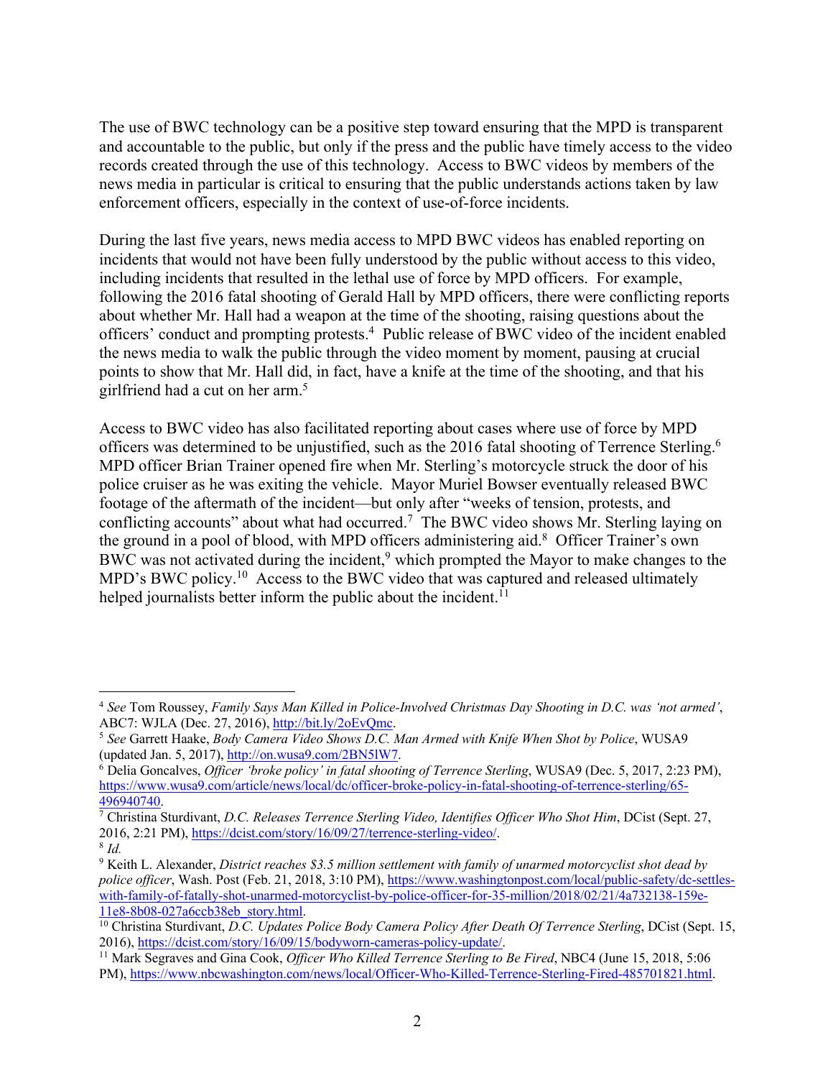The use of BWC technology can be a positive step toward ensuring that the MPD is transparent and accountable to the public, but only if the press and the public have timely access to the video records created through the use of this technology. Access to BWC videos by members of the news media in particular is critical to ensuring that the public understands actions taken by law enforcement officers, especially in the context of use-of-force incidents.

During the last five years, news media access to MPD BWC videos has enabled reporting on incidents that would not have been fully understood by the public without access to this video, including incidents that resulted in the lethal use of force by MPD officers. For example, following the 2016 fatal shooting of Gerald Hall by MPD officers, there were conflicting reports about whether Mr. Hall had a weapon at the time of the shooting, raising questions about the officers' conduct and prompting protests. <sup>4</sup> Public release of BWC video of the incident enabled the news media to walk the public through the video moment by moment, pausing at crucial points to show that Mr. Hall did, in fact, have a knife at the time of the shooting, and that his girlfriend had a cut on her arm.5

Access to BWC video has also facilitated reporting about cases where use of force by MPD officers was determined to be unjustified, such as the 2016 fatal shooting of Terrence Sterling.<sup>6</sup> MPD officer Brian Trainer opened fire when Mr. Sterling's motorcycle struck the door of his police cruiser as he was exiting the vehicle. Mayor Muriel Bowser eventually released BWC footage of the aftermath of the incident—but only after "weeks of tension, protests, and conflicting accounts" about what had occurred.7 The BWC video shows Mr. Sterling laying on the ground in a pool of blood, with MPD officers administering aid.8 Officer Trainer's own BWC was not activated during the incident,<sup>9</sup> which prompted the Mayor to make changes to the MPD's BWC policy.<sup>10</sup> Access to the BWC video that was captured and released ultimately helped journalists better inform the public about the incident.<sup>11</sup>

<sup>4</sup> *See* Tom Roussey, *Family Says Man Killed in Police-Involved Christmas Day Shooting in D.C. was 'not armed'*, ABC7: WJLA (Dec. 27, 2016), http://bit.ly/2oEvQmc.

<sup>5</sup> *See* Garrett Haake, *Body Camera Video Shows D.C. Man Armed with Knife When Shot by Police*, WUSA9 (updated Jan. 5, 2017), http://on.wusa9.com/2BN5lW7.

<sup>6</sup> Delia Goncalves, *Officer 'broke policy' in fatal shooting of Terrence Sterling*, WUSA9 (Dec. 5, 2017, 2:23 PM), https://www.wusa9.com/article/news/local/dc/officer-broke-policy-in-fatal-shooting-of-terrence-sterling/65- 496940740.

<sup>7</sup> Christina Sturdivant, *D.C. Releases Terrence Sterling Video, Identifies Officer Who Shot Him*, DCist (Sept. 27, 2016, 2:21 PM), https://dcist.com/story/16/09/27/terrence-sterling-video/.

<sup>8</sup> *Id.*

<sup>9</sup> Keith L. Alexander, *District reaches \$3.5 million settlement with family of unarmed motorcyclist shot dead by police officer*, Wash. Post (Feb. 21, 2018, 3:10 PM), https://www.washingtonpost.com/local/public-safety/dc-settleswith-family-of-fatally-shot-unarmed-motorcyclist-by-police-officer-for-35-million/2018/02/21/4a732138-159e-11e8-8b08-027a6ccb38eb\_story.html.

<sup>10</sup> Christina Sturdivant, *D.C. Updates Police Body Camera Policy After Death Of Terrence Sterling*, DCist (Sept. 15, 2016), https://dcist.com/story/16/09/15/bodyworn-cameras-policy-update/.

<sup>11</sup> Mark Segraves and Gina Cook, *Officer Who Killed Terrence Sterling to Be Fired*, NBC4 (June 15, 2018, 5:06 PM), https://www.nbcwashington.com/news/local/Officer-Who-Killed-Terrence-Sterling-Fired-485701821.html.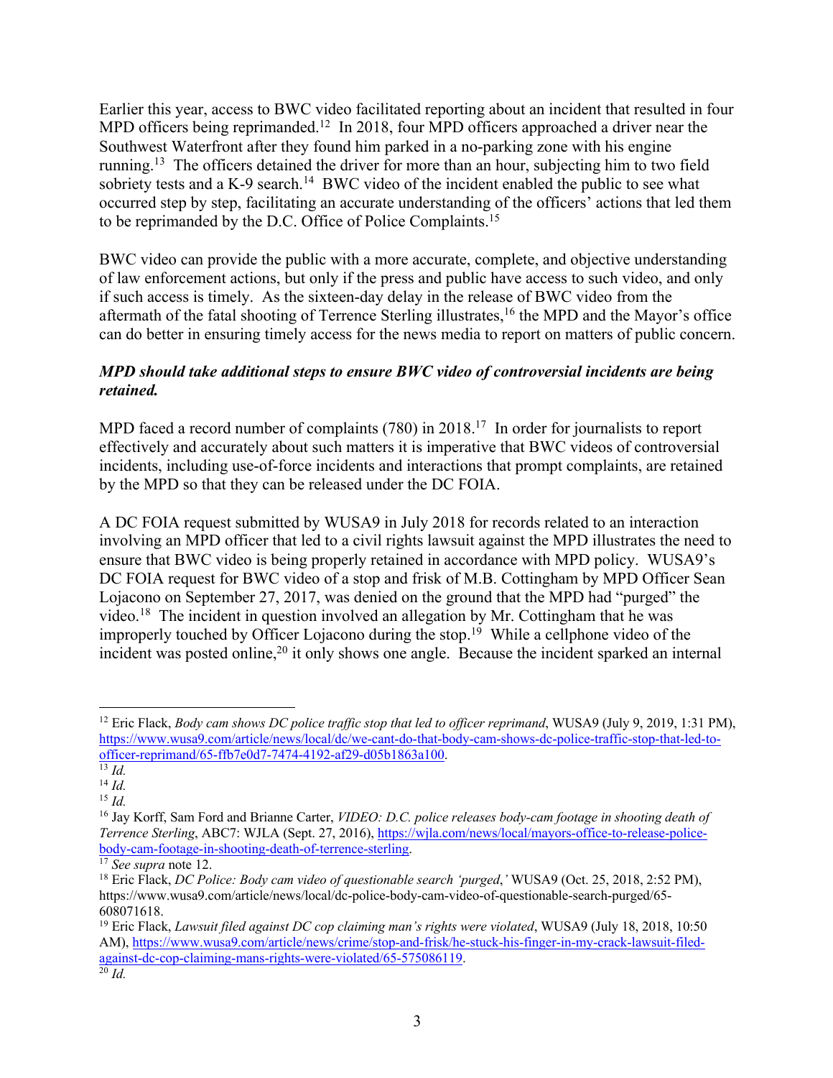Earlier this year, access to BWC video facilitated reporting about an incident that resulted in four MPD officers being reprimanded.<sup>12</sup> In 2018, four MPD officers approached a driver near the Southwest Waterfront after they found him parked in a no-parking zone with his engine running.13 The officers detained the driver for more than an hour, subjecting him to two field sobriety tests and a K-9 search.<sup>14</sup> BWC video of the incident enabled the public to see what occurred step by step, facilitating an accurate understanding of the officers' actions that led them to be reprimanded by the D.C. Office of Police Complaints.15

BWC video can provide the public with a more accurate, complete, and objective understanding of law enforcement actions, but only if the press and public have access to such video, and only if such access is timely. As the sixteen-day delay in the release of BWC video from the aftermath of the fatal shooting of Terrence Sterling illustrates, <sup>16</sup> the MPD and the Mayor's office can do better in ensuring timely access for the news media to report on matters of public concern.

## *MPD should take additional steps to ensure BWC video of controversial incidents are being retained.*

MPD faced a record number of complaints (780) in 2018.<sup>17</sup> In order for journalists to report effectively and accurately about such matters it is imperative that BWC videos of controversial incidents, including use-of-force incidents and interactions that prompt complaints, are retained by the MPD so that they can be released under the DC FOIA.

A DC FOIA request submitted by WUSA9 in July 2018 for records related to an interaction involving an MPD officer that led to a civil rights lawsuit against the MPD illustrates the need to ensure that BWC video is being properly retained in accordance with MPD policy. WUSA9's DC FOIA request for BWC video of a stop and frisk of M.B. Cottingham by MPD Officer Sean Lojacono on September 27, 2017, was denied on the ground that the MPD had "purged" the video.<sup>18</sup> The incident in question involved an allegation by Mr. Cottingham that he was improperly touched by Officer Lojacono during the stop.<sup>19</sup> While a cellphone video of the incident was posted online,<sup>20</sup> it only shows one angle. Because the incident sparked an internal

<sup>&</sup>lt;sup>12</sup> Eric Flack, *Body cam shows DC police traffic stop that led to officer reprimand*, WUSA9 (July 9, 2019, 1:31 PM), https://www.wusa9.com/article/news/local/dc/we-cant-do-that-body-cam-shows-dc-police-traffic-stop-that-led-toofficer-reprimand/65-ffb7e0d7-7474-4192-af29-d05b1863a100.

 $\overline{\frac{13}{13}}$ *Id.* 

<sup>14</sup> *Id.*

<sup>15</sup> *Id.*

<sup>16</sup> Jay Korff, Sam Ford and Brianne Carter, *VIDEO: D.C. police releases body-cam footage in shooting death of Terrence Sterling*, ABC7: WJLA (Sept. 27, 2016), https://wjla.com/news/local/mayors-office-to-release-policebody-cam-footage-in-shooting-death-of-terrence-sterling.

<sup>17</sup> *See supra* note 12.

<sup>18</sup> Eric Flack, *DC Police: Body cam video of questionable search 'purged*,*'* WUSA9 (Oct. 25, 2018, 2:52 PM), https://www.wusa9.com/article/news/local/dc-police-body-cam-video-of-questionable-search-purged/65- 608071618.

<sup>19</sup> Eric Flack, *Lawsuit filed against DC cop claiming man's rights were violated*, WUSA9 (July 18, 2018, 10:50 AM), https://www.wusa9.com/article/news/crime/stop-and-frisk/he-stuck-his-finger-in-my-crack-lawsuit-filedagainst-dc-cop-claiming-mans-rights-were-violated/65-575086119.  $\overline{^{20}}$ *Id.*